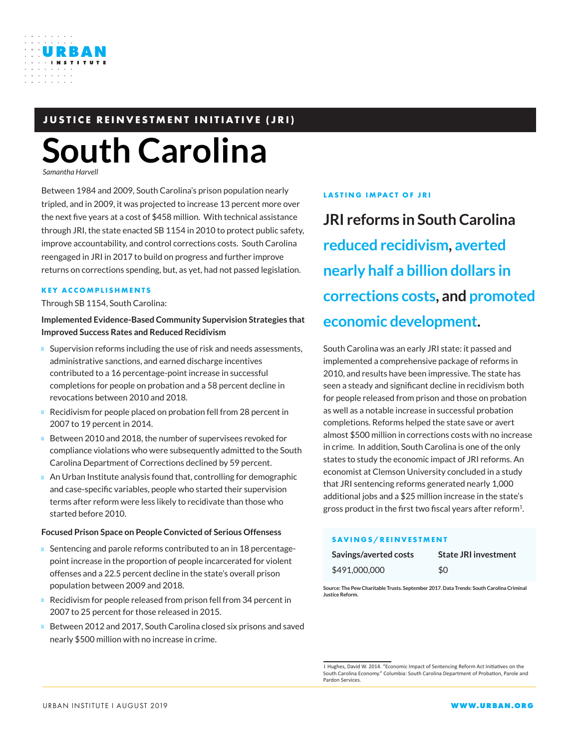

**South Carolina**

*Samantha Harvell*

Between 1984 and 2009, South Carolina's prison population nearly tripled, and in 2009, it was projected to increase 13 percent more over the next five years at a cost of \$458 million. With technical assistance through JRI, the state enacted SB 1154 in 2010 to protect public safety, improve accountability, and control corrections costs. South Carolina reengaged in JRI in 2017 to build on progress and further improve returns on corrections spending, but, as yet, had not passed legislation.

#### **KEY ACCOMPLISHMENTS**

Through SB 1154, South Carolina:

**Implemented Evidence-Based Community Supervision Strategies that Improved Success Rates and Reduced Recidivism**

Supervision reforms including the use of risk and needs assessments, administrative sanctions, and earned discharge incentives contributed to a 16 percentage-point increase in successful completions for people on probation and a 58 percent decline in revocations between 2010 and 2018.

Recidivism for people placed on probation fell from 28 percent in 2007 to 19 percent in 2014.

Between 2010 and 2018, the number of supervisees revoked for compliance violations who were subsequently admitted to the South Carolina Department of Corrections declined by 59 percent.

An Urban Institute analysis found that, controlling for demographic and case-specific variables, people who started their supervision terms after reform were less likely to recidivate than those who started before 2010.

### **Focused Prison Space on People Convicted of Serious Offensess**

Sentencing and parole reforms contributed to an in 18 percentagepoint increase in the proportion of people incarcerated for violent offenses and a 22.5 percent decline in the state's overall prison population between 2009 and 2018.

Recidivism for people released from prison fell from 34 percent in 2007 to 25 percent for those released in 2015.

Between 2012 and 2017, South Carolina closed six prisons and saved nearly \$500 million with no increase in crime.

### **LASTING IMPACT OF JRI**

**JRI reforms in South Carolina reduced recidivism, averted nearly half a billion dollars in corrections costs, and promoted economic development.**

South Carolina was an early JRI state: it passed and implemented a comprehensive package of reforms in 2010, and results have been impressive. The state has seen a steady and significant decline in recidivism both for people released from prison and those on probation as well as a notable increase in successful probation completions. Reforms helped the state save or avert almost \$500 million in corrections costs with no increase in crime. In addition, South Carolina is one of the only states to study the economic impact of JRI reforms. An economist at Clemson University concluded in a study that JRI sentencing reforms generated nearly 1,000 additional jobs and a \$25 million increase in the state's gross product in the first two fiscal years after reform<sup>1</sup>.

### **SAVINGS/REINVESTMENT**

| Savings/averted costs | <b>State JRI investment</b> |
|-----------------------|-----------------------------|
| \$491,000,000         | \$0                         |

**Source: The Pew Charitable Trusts. September 2017. Data Trends: South Carolina Criminal Justice Reform.**

<sup>1</sup> Hughes, David W. 2014. "Economic Impact of Sentencing Reform Act Initiatives on the South Carolina Economy." Columbia: South Carolina Department of Probation, Parole and Pardon Services.